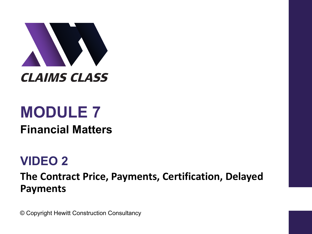

# **MODULE 7**

**Financial Matters**

# **VIDEO 2**

**The Contract Price, Payments, Certification, Delayed Payments**

© Copyright Hewitt Construction Consultancy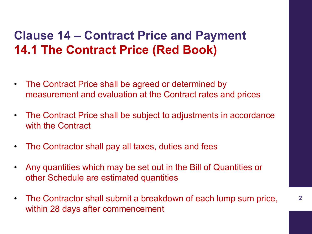# **Clause 14 – Contract Price and Payment 14.1 The Contract Price (Red Book)**

- The Contract Price shall be agreed or determined by measurement and evaluation at the Contract rates and prices
- The Contract Price shall be subject to adjustments in accordance with the Contract
- The Contractor shall pay all taxes, duties and fees
- Any quantities which may be set out in the Bill of Quantities or other Schedule are estimated quantities
- The Contractor shall submit a breakdown of each lump sum price, within 28 days after commencement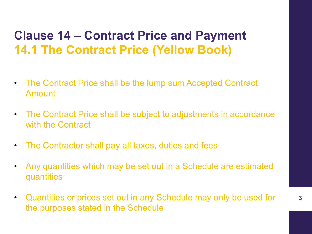# **Clause 14 – Contract Price and Payment 14.1 The Contract Price (Yellow Book)**

- The Contract Price shall be the lump sum Accepted Contract Amount
- The Contract Price shall be subject to adjustments in accordance with the Contract
- The Contractor shall pay all taxes, duties and fees
- Any quantities which may be set out in a Schedule are estimated quantities
- Quantities or prices set out in any Schedule may only be used for the purposes stated in the Schedule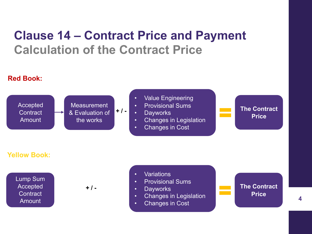# **Clause 14 – Contract Price and Payment Calculation of the Contract Price**

#### **Red Book:**

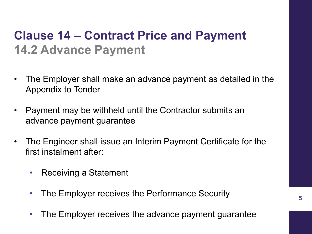# **Clause 14 – Contract Price and Payment 14.2 Advance Payment**

- The Employer shall make an advance payment as detailed in the Appendix to Tender
- Payment may be withheld until the Contractor submits an advance payment guarantee
- The Engineer shall issue an Interim Payment Certificate for the first instalment after:
	- Receiving a Statement
	- The Employer receives the Performance Security
	- The Employer receives the advance payment guarantee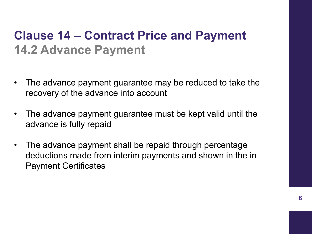# **Clause 14 – Contract Price and Payment 14.2 Advance Payment**

- The advance payment guarantee may be reduced to take the recovery of the advance into account
- The advance payment guarantee must be kept valid until the advance is fully repaid
- The advance payment shall be repaid through percentage deductions made from interim payments and shown in the in Payment Certificates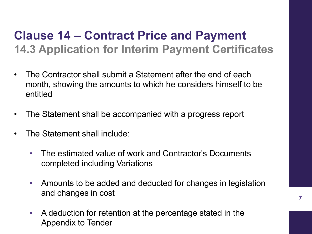### **Clause 14 – Contract Price and Payment 14.3 Application for Interim Payment Certificates**

- The Contractor shall submit a Statement after the end of each month, showing the amounts to which he considers himself to be entitled
- The Statement shall be accompanied with a progress report
- The Statement shall include:
	- The estimated value of work and Contractor's Documents completed including Variations
	- Amounts to be added and deducted for changes in legislation and changes in cost
	- A deduction for retention at the percentage stated in the Appendix to Tender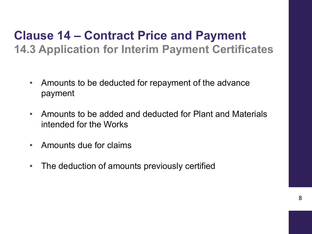#### **Clause 14 – Contract Price and Payment 14.3 Application for Interim Payment Certificates**

- Amounts to be deducted for repayment of the advance payment
- Amounts to be added and deducted for Plant and Materials intended for the Works
- Amounts due for claims
- The deduction of amounts previously certified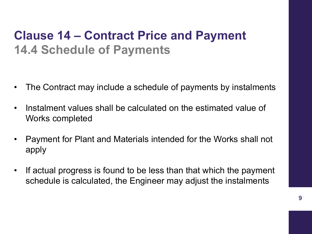# **Clause 14 – Contract Price and Payment 14.4 Schedule of Payments**

- The Contract may include a schedule of payments by instalments
- Instalment values shall be calculated on the estimated value of Works completed
- Payment for Plant and Materials intended for the Works shall not apply
- If actual progress is found to be less than that which the payment schedule is calculated, the Engineer may adjust the instalments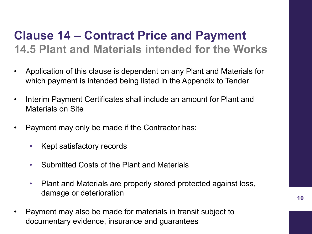### **Clause 14 – Contract Price and Payment 14.5 Plant and Materials intended for the Works**

- Application of this clause is dependent on any Plant and Materials for which payment is intended being listed in the Appendix to Tender
- Interim Payment Certificates shall include an amount for Plant and Materials on Site
- Payment may only be made if the Contractor has:
	- Kept satisfactory records
	- Submitted Costs of the Plant and Materials
	- Plant and Materials are properly stored protected against loss, damage or deterioration
- Payment may also be made for materials in transit subject to documentary evidence, insurance and guarantees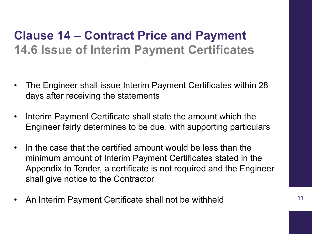# **Clause 14 – Contract Price and Payment 14.6 Issue of Interim Payment Certificates**

- The Engineer shall issue Interim Payment Certificates within 28 days after receiving the statements
- Interim Payment Certificate shall state the amount which the Engineer fairly determines to be due, with supporting particulars
- In the case that the certified amount would be less than the minimum amount of Interim Payment Certificates stated in the Appendix to Tender, a certificate is not required and the Engineer shall give notice to the Contractor
- An Interim Payment Certificate shall not be withheld **<sup>11</sup>**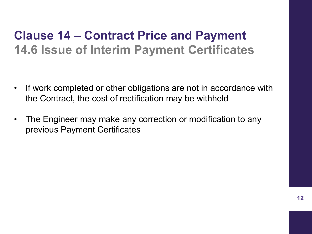# **Clause 14 – Contract Price and Payment 14.6 Issue of Interim Payment Certificates**

- If work completed or other obligations are not in accordance with the Contract, the cost of rectification may be withheld
- The Engineer may make any correction or modification to any previous Payment Certificates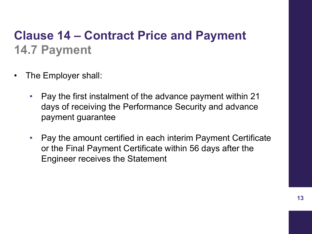# **Clause 14 – Contract Price and Payment 14.7 Payment**

- The Employer shall:
	- Pay the first instalment of the advance payment within 21 days of receiving the Performance Security and advance payment guarantee
	- Pay the amount certified in each interim Payment Certificate or the Final Payment Certificate within 56 days after the Engineer receives the Statement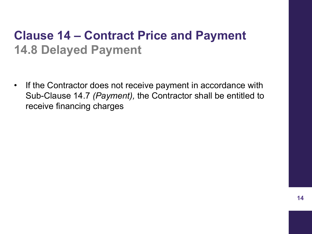# **Clause 14 – Contract Price and Payment 14.8 Delayed Payment**

• If the Contractor does not receive payment in accordance with Sub-Clause 14.7 *(Payment),* the Contractor shall be entitled to receive financing charges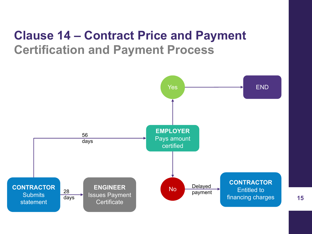# **Clause 14 – Contract Price and Payment Certification and Payment Process**

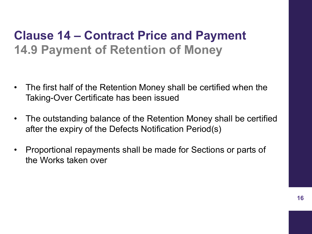# **Clause 14 – Contract Price and Payment 14.9 Payment of Retention of Money**

- The first half of the Retention Money shall be certified when the Taking-Over Certificate has been issued
- The outstanding balance of the Retention Money shall be certified after the expiry of the Defects Notification Period(s)
- Proportional repayments shall be made for Sections or parts of the Works taken over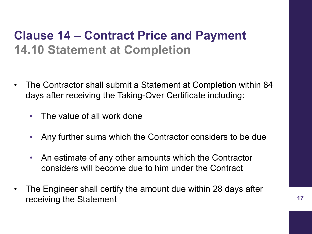# **Clause 14 – Contract Price and Payment 14.10 Statement at Completion**

- The Contractor shall submit a Statement at Completion within 84 days after receiving the Taking-Over Certificate including:
	- The value of all work done
	- Any further sums which the Contractor considers to be due
	- An estimate of any other amounts which the Contractor considers will become due to him under the Contract
- The Engineer shall certify the amount due within 28 days after receiving the Statement **17** and 17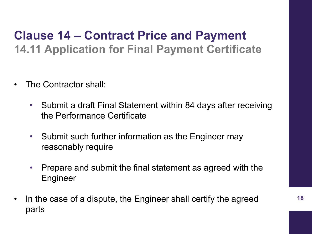# **Clause 14 – Contract Price and Payment 14.11 Application for Final Payment Certificate**

- The Contractor shall:
	- Submit a draft Final Statement within 84 days after receiving the Performance Certificate
	- Submit such further information as the Engineer may reasonably require
	- Prepare and submit the final statement as agreed with the Engineer
- In the case of a dispute, the Engineer shall certify the agreed parts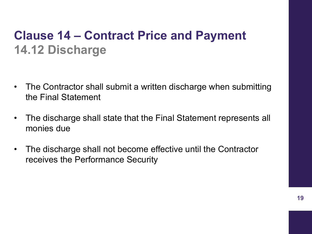# **Clause 14 – Contract Price and Payment 14.12 Discharge**

- The Contractor shall submit a written discharge when submitting the Final Statement
- The discharge shall state that the Final Statement represents all monies due
- The discharge shall not become effective until the Contractor receives the Performance Security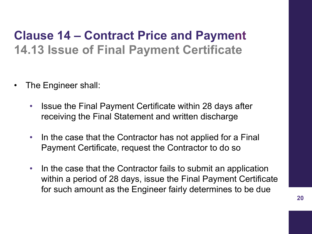# **Clause 14 – Contract Price and Payment 14.13 Issue of Final Payment Certificate**

- The Engineer shall:
	- Issue the Final Payment Certificate within 28 days after receiving the Final Statement and written discharge
	- In the case that the Contractor has not applied for a Final Payment Certificate, request the Contractor to do so
	- In the case that the Contractor fails to submit an application within a period of 28 days, issue the Final Payment Certificate for such amount as the Engineer fairly determines to be due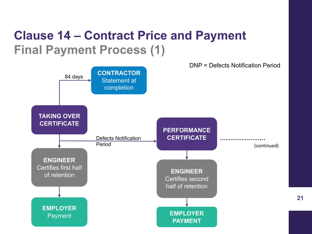# **Clause 14 – Contract Price and Payment Final Payment Process (1)**